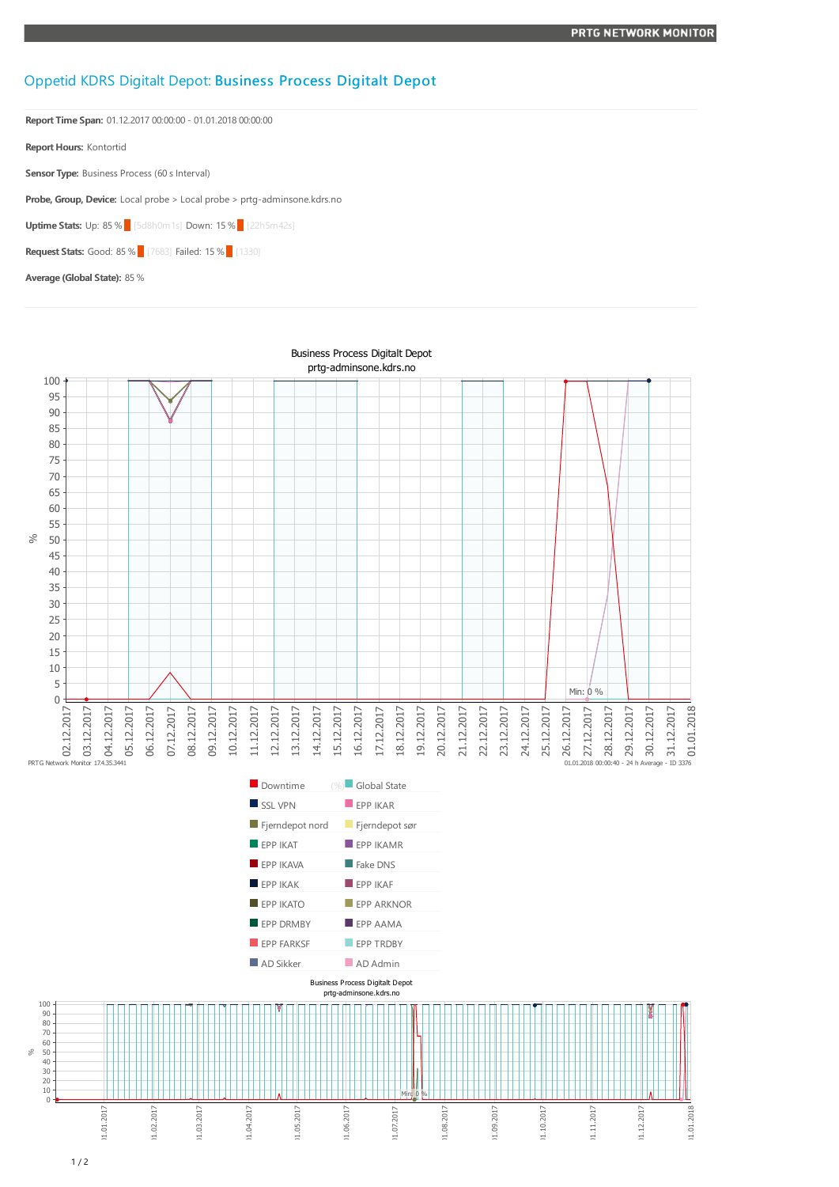## Oppetid KDRS Digitalt Depot: Business Process Digitalt Depot

**Report Time Span:** 01.12.2017 00:00:00 - 01.01.2018 00:00:00

**Report Hours:** Kontortid

**Sensor Type:** Business Process (60 s Interval)

**Probe, Group, Device:** Local probe > Local probe > prtg-adminsone.kdrs.no

**Uptime Stats: Up: 85 % [5d8h0m1s] Down: 15 % [22h5m42s]** 

**Request Stats:** Good: 85 % [7683] Failed: 15 % [1330]

**Average (Global State):** 85 %